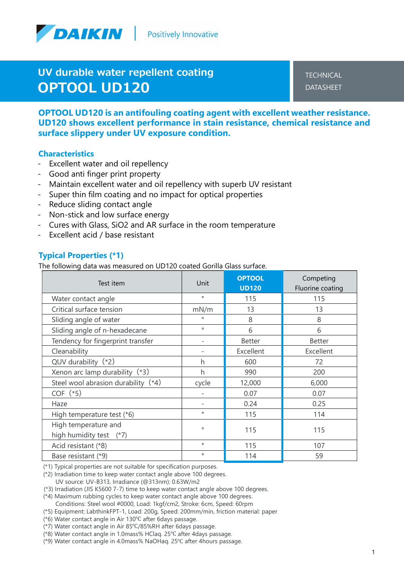

UV durable water repellent coating OPTOOL UD120

**TECHNICAL** DATASHEET

OPTOOL UD120 is an antifouling coating agent with excellent weather resistance. UD120 shows excellent performance in stain resistance, chemical resistance and surface slippery under UV exposure condition.

#### **Characteristics**

- Excellent water and oil repellency
- Good anti finger print property
- Maintain excellent water and oil repellency with superb UV resistant
- Super thin film coating and no impact for optical properties
- Reduce sliding contact angle
- Non-stick and low surface energy
- Cures with Glass, SiO2 and AR surface in the room temperature
- Excellent acid / base resistant

#### Typical Properties (\*1)

The following data was measured on UD120 coated Gorilla Glass surface.

| Test item                                            | Unit              | <b>OPTOOL</b><br><b>UD120</b> | Competing<br>Fluorine coating |
|------------------------------------------------------|-------------------|-------------------------------|-------------------------------|
| Water contact angle                                  | $\circ$           | 115                           | 115                           |
| Critical surface tension                             | mN/m              | 13                            | 13                            |
| Sliding angle of water                               | $\circ$           | 8                             | 8                             |
| Sliding angle of n-hexadecane                        | $\circ$           | 6                             | 6                             |
| Tendency for fingerprint transfer                    | $\qquad \qquad -$ | <b>Better</b>                 | <b>Better</b>                 |
| Cleanability                                         |                   | Excellent                     | Excellent                     |
| $QUV$ durability $(*2)$                              | h                 | 600                           | 72                            |
| Xenon arc lamp durability (*3)                       | h                 | 990                           | 200                           |
| Steel wool abrasion durability (*4)                  | cycle             | 12,000                        | 6,000                         |
| $COF$ (*5)                                           |                   | 0.07                          | 0.07                          |
| Haze                                                 | -                 | 0.24                          | 0.25                          |
| High temperature test (*6)                           | $\circ$           | 115                           | 114                           |
| High temperature and<br>high humidity test<br>$(*7)$ | $\circ$           | 115                           | 115                           |
| Acid resistant (*8)                                  | $\circ$           | 115                           | 107                           |
| Base resistant (*9)                                  | $\circ$           | 114                           | 59                            |

(\*1) Typical properties are not suitable for specification purposes.

(\*2) Irradiation time to keep water contact angle above 100 degrees. UV source: UV-B313, Irradiance (@313nm): 0.63W/m2

(\*3) Irradiation (JIS K5600 7-7) time to keep water contact angle above 100 degrees.

- (\*4) Maximum rubbing cycles to keep water contact angle above 100 degrees. Conditions: Steel wool #0000, Load: 1kgf/cm2, Stroke: 6cm, Speed: 60rpm
- (\*5) Equipment: LabthinkFPT-1, Load: 200g, Speed: 200mm/min, friction material: paper

(\*6) Water contact angle in Air 130℃ after 6days passage.

- (\*7) Water contact angle in Air 85℃/85%RH after 6days passage.
- (\*8) Water contact angle in 1.0mass% HClaq. 25℃ after 4days passage.
- (\*9) Water contact angle in 4.0mass% NaOHaq. 25℃ after 4hours passage.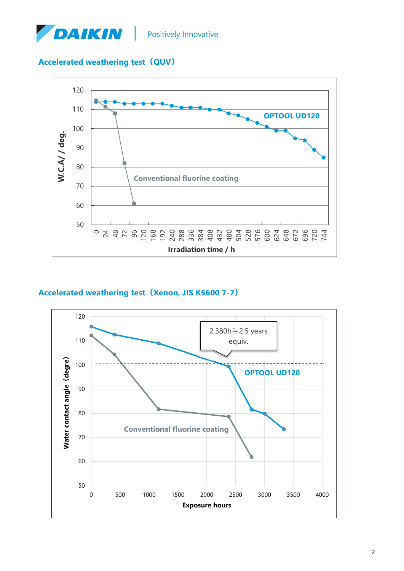

# Accelerated weathering test (QUV)



## Accelerated weathering test(Xenon, JIS K5600 7-7)